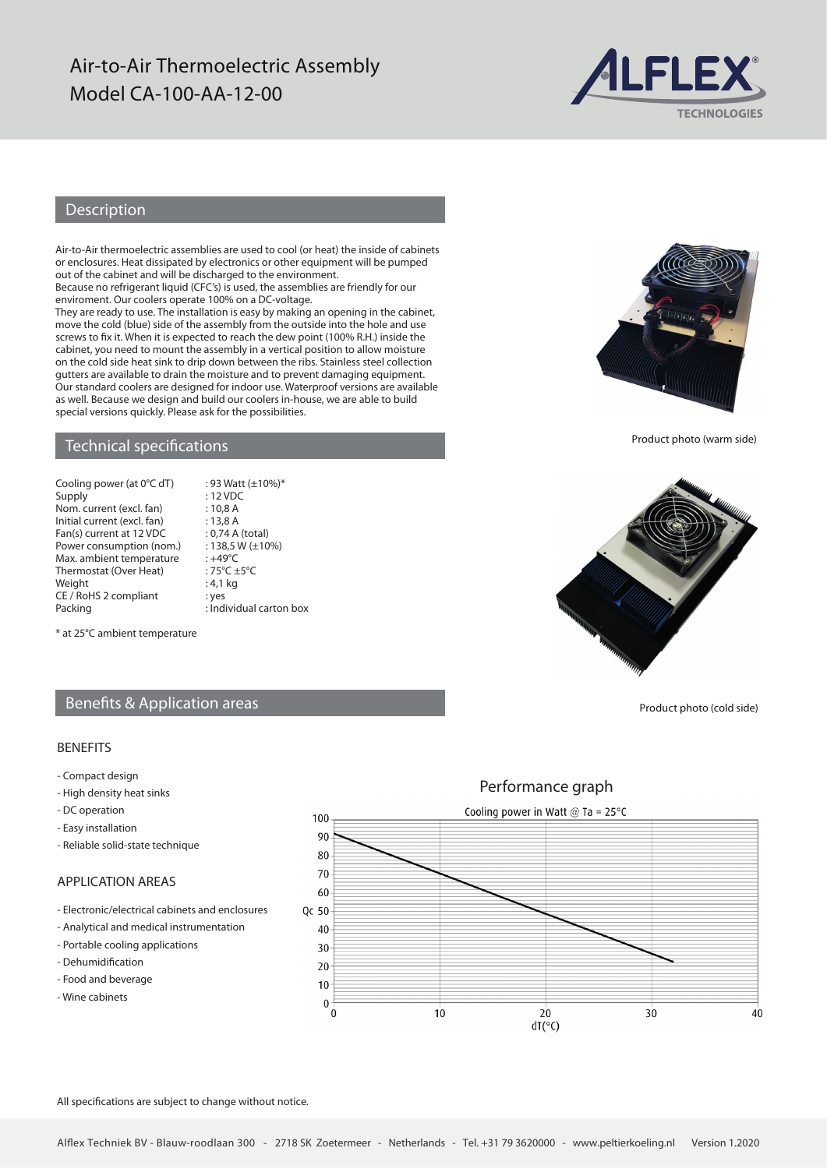## Air-to-Air Thermoelectric Assembly Model CA-100-AA-12-00



## Description

Air-to-Air thermoelectric assemblies are used to cool (or heat) the inside of cabinets or enclosures. Heat dissipated by electronics or other equipment will be pumped out of the cabinet and will be discharged to the environment.

Because no refrigerant liquid (CFC's) is used, the assemblies are friendly for our enviroment. Our coolers operate 100% on a DC-voltage.

They are ready to use. The installation is easy by making an opening in the cabinet, move the cold (blue) side of the assembly from the outside into the hole and use screws to fix it. When it is expected to reach the dew point (100% R.H.) inside the cabinet, you need to mount the assembly in a vertical position to allow moisture on the cold side heat sink to drip down between the ribs. Stainless steel collection gutters are available to drain the moisture and to prevent damaging equipment. Our standard coolers are designed for indoor use. Waterproof versions are available as well. Because we design and build our coolers in-house, we are able to build special versions quickly. Please ask for the possibilities.

 $: 93$  Watt ( $\pm 10\%$ )\*

### Technical specifications

| Cooling power (at 0°C dT)   |
|-----------------------------|
| Supply                      |
| Nom. current (excl. fan)    |
| Initial current (excl. fan) |
| Fan(s) current at 12 VDC    |
| Power consumption (nom.)    |
| Max. ambient temperature    |
| Thermostat (Over Heat)      |
| Weight                      |
| CE / RoHS 2 compliant       |
| <b>Dacking</b>              |

: 12 VDC  $: 10.8 A$  $: 13,8 A$ : 0,74 A (total)  $: 138.5 W (\pm 10\%)$  $\cdot +49^{\circ}C$  $.75\degree C + 5\degree C$  $: 4,1$  kg : yes Packing **Example 2** : Individual carton box

\* at 25°C ambient temperature

## Benefits & Application areas

#### BENEFITS

- Compact design
- High density heat sinks
- DC operation
- Easy installation
- Reliable solid-state technique

## APPLICATION AREAS

- Electronic/electrical cabinets and enclosures
- Analytical and medical instrumentation
- Portable cooling applications
- Dehumidification
- Food and beverage
- Wine cabinets

Performance graph Cooling power in Watt  $@$  Ta = 25°C 100  $90$  $80$ 70 60 Qc 50 40  $30$  $20$  $10$  $\mathbf{0}$  $\overline{0}$  $10$  $20$  $30$  $40$  $dT(°C)$ 

All specifications are subject to change without notice.



Product photo (warm side)



Product photo (cold side)